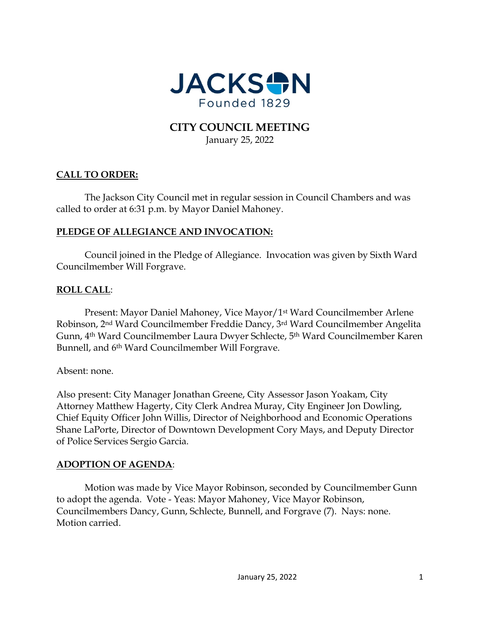

# **CITY COUNCIL MEETING** January 25, 2022

# **CALL TO ORDER:**

The Jackson City Council met in regular session in Council Chambers and was called to order at 6:31 p.m. by Mayor Daniel Mahoney.

### **PLEDGE OF ALLEGIANCE AND INVOCATION:**

Council joined in the Pledge of Allegiance. Invocation was given by Sixth Ward Councilmember Will Forgrave.

## **ROLL CALL**:

Present: Mayor Daniel Mahoney, Vice Mayor/1st Ward Councilmember Arlene Robinson, 2nd Ward Councilmember Freddie Dancy, 3rd Ward Councilmember Angelita Gunn, 4th Ward Councilmember Laura Dwyer Schlecte, 5th Ward Councilmember Karen Bunnell, and 6th Ward Councilmember Will Forgrave.

Absent: none.

Also present: City Manager Jonathan Greene, City Assessor Jason Yoakam, City Attorney Matthew Hagerty, City Clerk Andrea Muray, City Engineer Jon Dowling, Chief Equity Officer John Willis, Director of Neighborhood and Economic Operations Shane LaPorte, Director of Downtown Development Cory Mays, and Deputy Director of Police Services Sergio Garcia.

#### **ADOPTION OF AGENDA**:

Motion was made by Vice Mayor Robinson, seconded by Councilmember Gunn to adopt the agenda. Vote - Yeas: Mayor Mahoney, Vice Mayor Robinson, Councilmembers Dancy, Gunn, Schlecte, Bunnell, and Forgrave (7). Nays: none. Motion carried.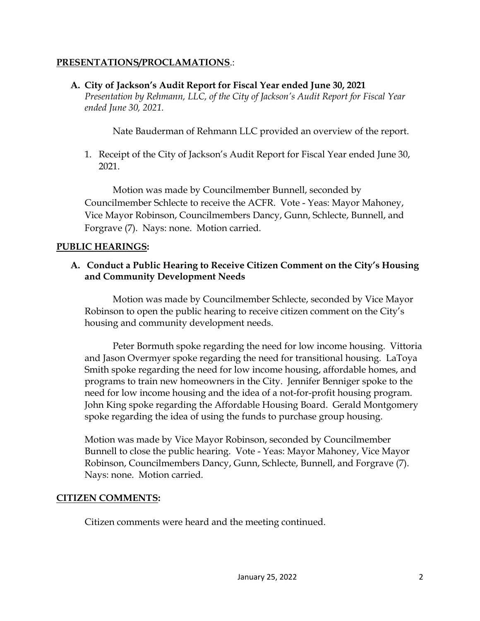### **PRESENTATIONS/PROCLAMATIONS**.:

### **A. City of Jackson's Audit Report for Fiscal Year ended June 30, 2021**

*Presentation by Rehmann, LLC, of the City of Jackson's Audit Report for Fiscal Year ended June 30, 2021.*

Nate Bauderman of Rehmann LLC provided an overview of the report.

1. Receipt of the City of Jackson's Audit Report for Fiscal Year ended June 30, 2021.

Motion was made by Councilmember Bunnell, seconded by Councilmember Schlecte to receive the ACFR. Vote - Yeas: Mayor Mahoney, Vice Mayor Robinson, Councilmembers Dancy, Gunn, Schlecte, Bunnell, and Forgrave (7). Nays: none. Motion carried.

### **PUBLIC HEARINGS:**

# **A. Conduct a Public Hearing to Receive Citizen Comment on the City's Housing and Community Development Needs**

Motion was made by Councilmember Schlecte, seconded by Vice Mayor Robinson to open the public hearing to receive citizen comment on the City's housing and community development needs.

Peter Bormuth spoke regarding the need for low income housing. Vittoria and Jason Overmyer spoke regarding the need for transitional housing. LaToya Smith spoke regarding the need for low income housing, affordable homes, and programs to train new homeowners in the City. Jennifer Benniger spoke to the need for low income housing and the idea of a not-for-profit housing program. John King spoke regarding the Affordable Housing Board. Gerald Montgomery spoke regarding the idea of using the funds to purchase group housing.

Motion was made by Vice Mayor Robinson, seconded by Councilmember Bunnell to close the public hearing. Vote - Yeas: Mayor Mahoney, Vice Mayor Robinson, Councilmembers Dancy, Gunn, Schlecte, Bunnell, and Forgrave (7). Nays: none. Motion carried.

## **CITIZEN COMMENTS:**

Citizen comments were heard and the meeting continued.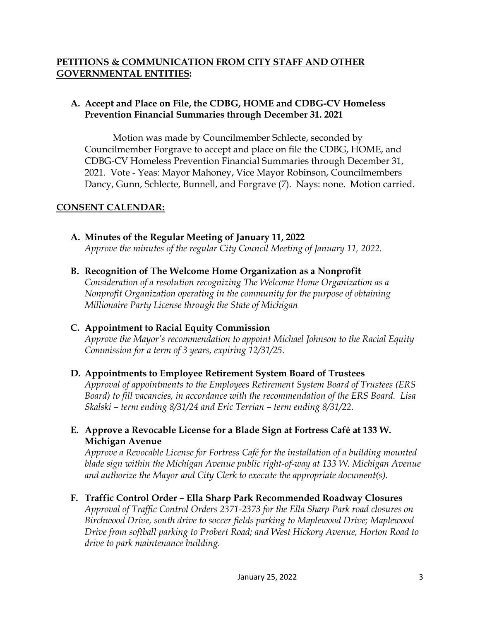## **PETITIONS & COMMUNICATION FROM CITY STAFF AND OTHER GOVERNMENTAL ENTITIES:**

# **A. Accept and Place on File, the CDBG, HOME and CDBG-CV Homeless Prevention Financial Summaries through December 31. 2021**

Motion was made by Councilmember Schlecte, seconded by Councilmember Forgrave to accept and place on file the CDBG, HOME, and CDBG-CV Homeless Prevention Financial Summaries through December 31, 2021. Vote - Yeas: Mayor Mahoney, Vice Mayor Robinson, Councilmembers Dancy, Gunn, Schlecte, Bunnell, and Forgrave (7). Nays: none. Motion carried.

## **CONSENT CALENDAR:**

# **A. Minutes of the Regular Meeting of January 11, 2022**

*Approve the minutes of the regular City Council Meeting of January 11, 2022.* 

**B. Recognition of The Welcome Home Organization as a Nonprofit**

*Consideration of a resolution recognizing The Welcome Home Organization as a Nonprofit Organization operating in the community for the purpose of obtaining Millionaire Party License through the State of Michigan* 

## **C. Appointment to Racial Equity Commission**

*Approve the Mayor's recommendation to appoint Michael Johnson to the Racial Equity Commission for a term of 3 years, expiring 12/31/25.* 

## **D. Appointments to Employee Retirement System Board of Trustees**

*Approval of appointments to the Employees Retirement System Board of Trustees (ERS Board) to fill vacancies, in accordance with the recommendation of the ERS Board. Lisa Skalski – term ending 8/31/24 and Eric Terrian – term ending 8/31/22.* 

# **E. Approve a Revocable License for a Blade Sign at Fortress Café at 133 W. Michigan Avenue**

*Approve a Revocable License for Fortress Café for the installation of a building mounted blade sign within the Michigan Avenue public right-of-way at 133 W. Michigan Avenue and authorize the Mayor and City Clerk to execute the appropriate document(s).* 

## **F. Traffic Control Order – Ella Sharp Park Recommended Roadway Closures**

*Approval of Traffic Control Orders 2371-2373 for the Ella Sharp Park road closures on Birchwood Drive, south drive to soccer fields parking to Maplewood Drive; Maplewood Drive from softball parking to Probert Road; and West Hickory Avenue, Horton Road to drive to park maintenance building.*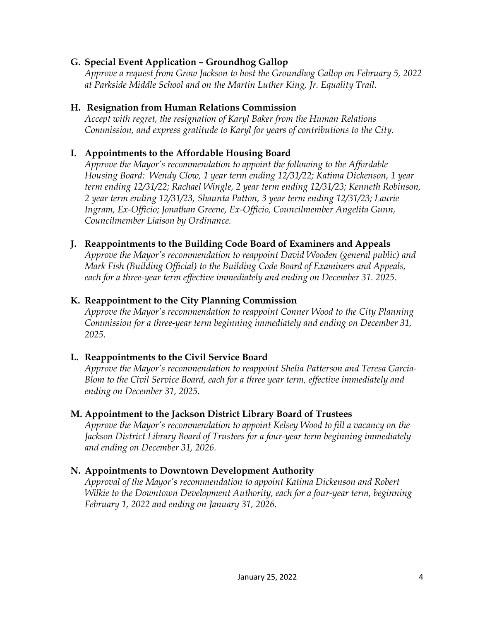### **G. Special Event Application – Groundhog Gallop**

*Approve a request from Grow Jackson to host the Groundhog Gallop on February 5, 2022 at Parkside Middle School and on the Martin Luther King, Jr. Equality Trail.* 

### **H. Resignation from Human Relations Commission**

*Accept with regret, the resignation of Karyl Baker from the Human Relations Commission, and express gratitude to Karyl for years of contributions to the City.* 

### **I. Appointments to the Affordable Housing Board**

*Approve the Mayor's recommendation to appoint the following to the Affordable Housing Board: Wendy Clow, 1 year term ending 12/31/22; Katima Dickenson, 1 year term ending 12/31/22; Rachael Wingle, 2 year term ending 12/31/23; Kenneth Robinson, 2 year term ending 12/31/23, Shaunta Patton, 3 year term ending 12/31/23; Laurie Ingram, Ex-Officio; Jonathan Greene, Ex-Officio, Councilmember Angelita Gunn, Councilmember Liaison by Ordinance.* 

### **J. Reappointments to the Building Code Board of Examiners and Appeals**

*Approve the Mayor's recommendation to reappoint David Wooden (general public) and Mark Fish (Building Official) to the Building Code Board of Examiners and Appeals, each for a three-year term effective immediately and ending on December 31. 2025.* 

### **K. Reappointment to the City Planning Commission**

*Approve the Mayor's recommendation to reappoint Conner Wood to the City Planning Commission for a three-year term beginning immediately and ending on December 31, 2025.* 

## **L. Reappointments to the Civil Service Board**

*Approve the Mayor's recommendation to reappoint Shelia Patterson and Teresa Garcia-Blom to the Civil Service Board, each for a three year term, effective immediately and ending on December 31, 2025.* 

#### **M. Appointment to the Jackson District Library Board of Trustees**

*Approve the Mayor's recommendation to appoint Kelsey Wood to fill a vacancy on the Jackson District Library Board of Trustees for a four-year term beginning immediately and ending on December 31, 2026.* 

#### **N. Appointments to Downtown Development Authority**

*Approval of the Mayor's recommendation to appoint Katima Dickenson and Robert Wilkie to the Downtown Development Authority, each for a four-year term, beginning February 1, 2022 and ending on January 31, 2026.*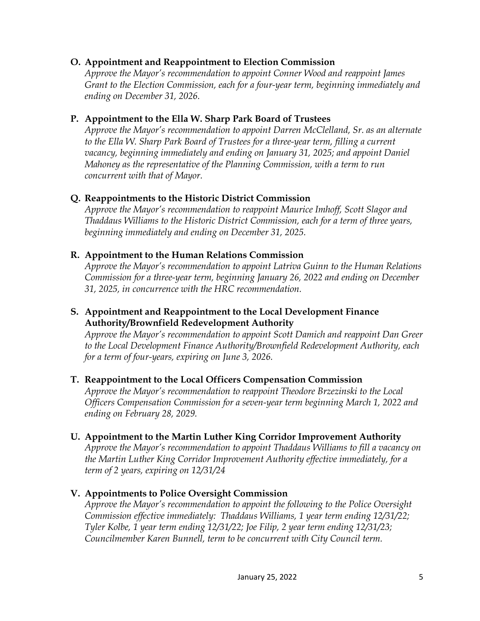### **O. Appointment and Reappointment to Election Commission**

*Approve the Mayor's recommendation to appoint Conner Wood and reappoint James Grant to the Election Commission, each for a four-year term, beginning immediately and ending on December 31, 2026.* 

### **P. Appointment to the Ella W. Sharp Park Board of Trustees**

*Approve the Mayor's recommendation to appoint Darren McClelland, Sr. as an alternate*  to the Ella W. Sharp Park Board of Trustees for a three-year term, filling a current *vacancy, beginning immediately and ending on January 31, 2025; and appoint Daniel Mahoney as the representative of the Planning Commission, with a term to run concurrent with that of Mayor.* 

## **Q. Reappointments to the Historic District Commission**

*Approve the Mayor's recommendation to reappoint Maurice Imhoff, Scott Slagor and Thaddaus Williams to the Historic District Commission, each for a term of three years, beginning immediately and ending on December 31, 2025.* 

## **R. Appointment to the Human Relations Commission**

*Approve the Mayor's recommendation to appoint Latriva Guinn to the Human Relations Commission for a three-year term, beginning January 26, 2022 and ending on December 31, 2025, in concurrence with the HRC recommendation.* 

### **S. Appointment and Reappointment to the Local Development Finance Authority/Brownfield Redevelopment Authority**

*Approve the Mayor's recommendation to appoint Scott Damich and reappoint Dan Greer to the Local Development Finance Authority/Brownfield Redevelopment Authority, each for a term of four-years, expiring on June 3, 2026.* 

## **T. Reappointment to the Local Officers Compensation Commission**

*Approve the Mayor's recommendation to reappoint Theodore Brzezinski to the Local Officers Compensation Commission for a seven-year term beginning March 1, 2022 and ending on February 28, 2029.* 

## **U. Appointment to the Martin Luther King Corridor Improvement Authority**

*Approve the Mayor's recommendation to appoint Thaddaus Williams to fill a vacancy on the Martin Luther King Corridor Improvement Authority effective immediately, for a term of 2 years, expiring on 12/31/24*

## **V. Appointments to Police Oversight Commission**

*Approve the Mayor's recommendation to appoint the following to the Police Oversight Commission effective immediately: Thaddaus Williams, 1 year term ending 12/31/22; Tyler Kolbe, 1 year term ending 12/31/22; Joe Filip, 2 year term ending 12/31/23; Councilmember Karen Bunnell, term to be concurrent with City Council term.*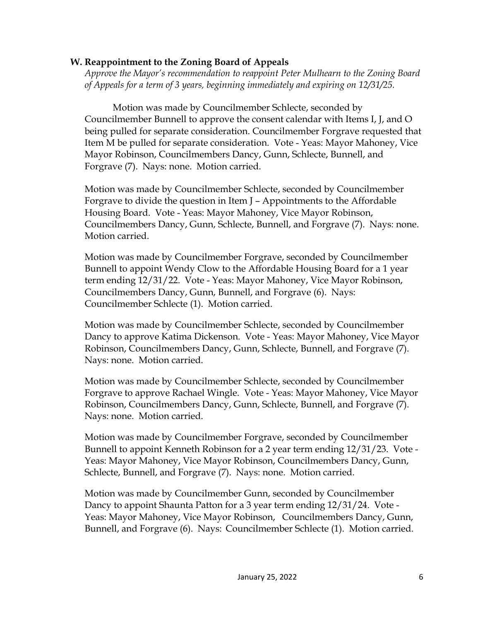#### **W. Reappointment to the Zoning Board of Appeals**

*Approve the Mayor's recommendation to reappoint Peter Mulhearn to the Zoning Board of Appeals for a term of 3 years, beginning immediately and expiring on 12/31/25.* 

Motion was made by Councilmember Schlecte, seconded by Councilmember Bunnell to approve the consent calendar with Items I, J, and O being pulled for separate consideration. Councilmember Forgrave requested that Item M be pulled for separate consideration. Vote - Yeas: Mayor Mahoney, Vice Mayor Robinson, Councilmembers Dancy, Gunn, Schlecte, Bunnell, and Forgrave (7). Nays: none. Motion carried.

Motion was made by Councilmember Schlecte, seconded by Councilmember Forgrave to divide the question in Item J – Appointments to the Affordable Housing Board. Vote - Yeas: Mayor Mahoney, Vice Mayor Robinson, Councilmembers Dancy, Gunn, Schlecte, Bunnell, and Forgrave (7). Nays: none. Motion carried.

Motion was made by Councilmember Forgrave, seconded by Councilmember Bunnell to appoint Wendy Clow to the Affordable Housing Board for a 1 year term ending 12/31/22. Vote - Yeas: Mayor Mahoney, Vice Mayor Robinson, Councilmembers Dancy, Gunn, Bunnell, and Forgrave (6). Nays: Councilmember Schlecte (1). Motion carried.

Motion was made by Councilmember Schlecte, seconded by Councilmember Dancy to approve Katima Dickenson. Vote - Yeas: Mayor Mahoney, Vice Mayor Robinson, Councilmembers Dancy, Gunn, Schlecte, Bunnell, and Forgrave (7). Nays: none. Motion carried.

Motion was made by Councilmember Schlecte, seconded by Councilmember Forgrave to approve Rachael Wingle. Vote - Yeas: Mayor Mahoney, Vice Mayor Robinson, Councilmembers Dancy, Gunn, Schlecte, Bunnell, and Forgrave (7). Nays: none. Motion carried.

Motion was made by Councilmember Forgrave, seconded by Councilmember Bunnell to appoint Kenneth Robinson for a 2 year term ending 12/31/23. Vote - Yeas: Mayor Mahoney, Vice Mayor Robinson, Councilmembers Dancy, Gunn, Schlecte, Bunnell, and Forgrave (7). Nays: none. Motion carried.

Motion was made by Councilmember Gunn, seconded by Councilmember Dancy to appoint Shaunta Patton for a 3 year term ending 12/31/24. Vote - Yeas: Mayor Mahoney, Vice Mayor Robinson, Councilmembers Dancy, Gunn, Bunnell, and Forgrave (6). Nays: Councilmember Schlecte (1). Motion carried.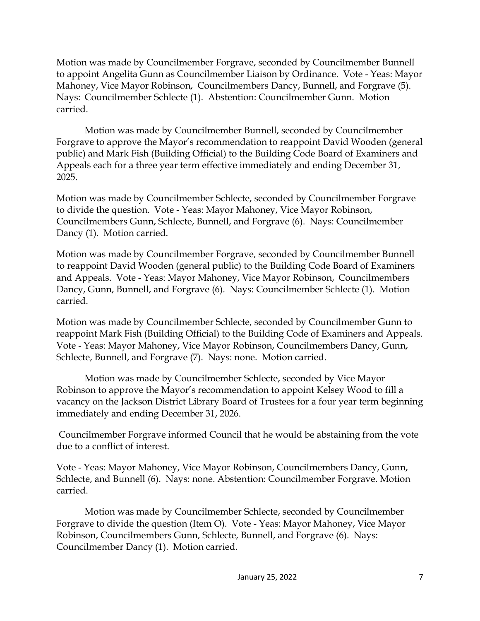Motion was made by Councilmember Forgrave, seconded by Councilmember Bunnell to appoint Angelita Gunn as Councilmember Liaison by Ordinance. Vote - Yeas: Mayor Mahoney, Vice Mayor Robinson, Councilmembers Dancy, Bunnell, and Forgrave (5). Nays: Councilmember Schlecte (1). Abstention: Councilmember Gunn. Motion carried.

Motion was made by Councilmember Bunnell, seconded by Councilmember Forgrave to approve the Mayor's recommendation to reappoint David Wooden (general public) and Mark Fish (Building Official) to the Building Code Board of Examiners and Appeals each for a three year term effective immediately and ending December 31, 2025.

Motion was made by Councilmember Schlecte, seconded by Councilmember Forgrave to divide the question. Vote - Yeas: Mayor Mahoney, Vice Mayor Robinson, Councilmembers Gunn, Schlecte, Bunnell, and Forgrave (6). Nays: Councilmember Dancy (1). Motion carried.

Motion was made by Councilmember Forgrave, seconded by Councilmember Bunnell to reappoint David Wooden (general public) to the Building Code Board of Examiners and Appeals. Vote - Yeas: Mayor Mahoney, Vice Mayor Robinson, Councilmembers Dancy, Gunn, Bunnell, and Forgrave (6). Nays: Councilmember Schlecte (1). Motion carried.

Motion was made by Councilmember Schlecte, seconded by Councilmember Gunn to reappoint Mark Fish (Building Official) to the Building Code of Examiners and Appeals. Vote - Yeas: Mayor Mahoney, Vice Mayor Robinson, Councilmembers Dancy, Gunn, Schlecte, Bunnell, and Forgrave (7). Nays: none. Motion carried.

Motion was made by Councilmember Schlecte, seconded by Vice Mayor Robinson to approve the Mayor's recommendation to appoint Kelsey Wood to fill a vacancy on the Jackson District Library Board of Trustees for a four year term beginning immediately and ending December 31, 2026.

Councilmember Forgrave informed Council that he would be abstaining from the vote due to a conflict of interest.

Vote - Yeas: Mayor Mahoney, Vice Mayor Robinson, Councilmembers Dancy, Gunn, Schlecte, and Bunnell (6). Nays: none. Abstention: Councilmember Forgrave. Motion carried.

Motion was made by Councilmember Schlecte, seconded by Councilmember Forgrave to divide the question (Item O). Vote - Yeas: Mayor Mahoney, Vice Mayor Robinson, Councilmembers Gunn, Schlecte, Bunnell, and Forgrave (6). Nays: Councilmember Dancy (1). Motion carried.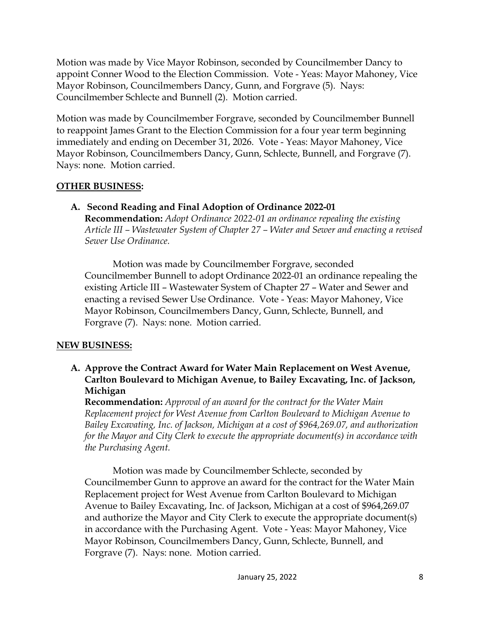Motion was made by Vice Mayor Robinson, seconded by Councilmember Dancy to appoint Conner Wood to the Election Commission. Vote - Yeas: Mayor Mahoney, Vice Mayor Robinson, Councilmembers Dancy, Gunn, and Forgrave (5). Nays: Councilmember Schlecte and Bunnell (2). Motion carried.

Motion was made by Councilmember Forgrave, seconded by Councilmember Bunnell to reappoint James Grant to the Election Commission for a four year term beginning immediately and ending on December 31, 2026. Vote - Yeas: Mayor Mahoney, Vice Mayor Robinson, Councilmembers Dancy, Gunn, Schlecte, Bunnell, and Forgrave (7). Nays: none. Motion carried.

## **OTHER BUSINESS:**

**A. Second Reading and Final Adoption of Ordinance 2022-01 Recommendation:** *Adopt Ordinance 2022-01 an ordinance repealing the existing Article III – Wastewater System of Chapter 27 – Water and Sewer and enacting a revised Sewer Use Ordinance.* 

Motion was made by Councilmember Forgrave, seconded Councilmember Bunnell to adopt Ordinance 2022-01 an ordinance repealing the existing Article III – Wastewater System of Chapter 27 – Water and Sewer and enacting a revised Sewer Use Ordinance. Vote - Yeas: Mayor Mahoney, Vice Mayor Robinson, Councilmembers Dancy, Gunn, Schlecte, Bunnell, and Forgrave (7). Nays: none. Motion carried.

# **NEW BUSINESS:**

**A. Approve the Contract Award for Water Main Replacement on West Avenue, Carlton Boulevard to Michigan Avenue, to Bailey Excavating, Inc. of Jackson, Michigan** 

**Recommendation:** *Approval of an award for the contract for the Water Main Replacement project for West Avenue from Carlton Boulevard to Michigan Avenue to Bailey Excavating, Inc. of Jackson, Michigan at a cost of \$964,269.07, and authorization for the Mayor and City Clerk to execute the appropriate document(s) in accordance with the Purchasing Agent.* 

Motion was made by Councilmember Schlecte, seconded by Councilmember Gunn to approve an award for the contract for the Water Main Replacement project for West Avenue from Carlton Boulevard to Michigan Avenue to Bailey Excavating, Inc. of Jackson, Michigan at a cost of \$964,269.07 and authorize the Mayor and City Clerk to execute the appropriate document(s) in accordance with the Purchasing Agent. Vote - Yeas: Mayor Mahoney, Vice Mayor Robinson, Councilmembers Dancy, Gunn, Schlecte, Bunnell, and Forgrave (7). Nays: none. Motion carried.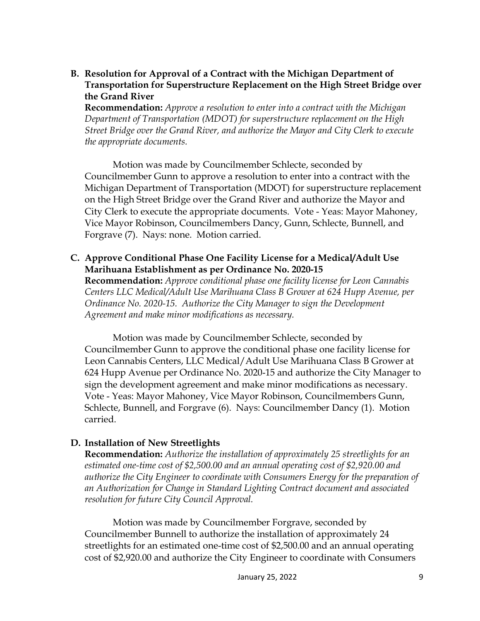**B. Resolution for Approval of a Contract with the Michigan Department of Transportation for Superstructure Replacement on the High Street Bridge over the Grand River** 

**Recommendation:** *Approve a resolution to enter into a contract with the Michigan Department of Transportation (MDOT) for superstructure replacement on the High Street Bridge over the Grand River, and authorize the Mayor and City Clerk to execute the appropriate documents.* 

Motion was made by Councilmember Schlecte, seconded by Councilmember Gunn to approve a resolution to enter into a contract with the Michigan Department of Transportation (MDOT) for superstructure replacement on the High Street Bridge over the Grand River and authorize the Mayor and City Clerk to execute the appropriate documents. Vote - Yeas: Mayor Mahoney, Vice Mayor Robinson, Councilmembers Dancy, Gunn, Schlecte, Bunnell, and Forgrave (7). Nays: none. Motion carried.

**C. Approve Conditional Phase One Facility License for a Medical/Adult Use Marihuana Establishment as per Ordinance No. 2020-15**

**Recommendation:** *Approve conditional phase one facility license for Leon Cannabis Centers LLC Medical/Adult Use Marihuana Class B Grower at 624 Hupp Avenue, per Ordinance No. 2020-15. Authorize the City Manager to sign the Development Agreement and make minor modifications as necessary.* 

Motion was made by Councilmember Schlecte, seconded by Councilmember Gunn to approve the conditional phase one facility license for Leon Cannabis Centers, LLC Medical/Adult Use Marihuana Class B Grower at 624 Hupp Avenue per Ordinance No. 2020-15 and authorize the City Manager to sign the development agreement and make minor modifications as necessary. Vote - Yeas: Mayor Mahoney, Vice Mayor Robinson, Councilmembers Gunn, Schlecte, Bunnell, and Forgrave (6). Nays: Councilmember Dancy (1). Motion carried.

#### **D. Installation of New Streetlights**

**Recommendation:** *Authorize the installation of approximately 25 streetlights for an estimated one-time cost of \$2,500.00 and an annual operating cost of \$2,920.00 and authorize the City Engineer to coordinate with Consumers Energy for the preparation of an Authorization for Change in Standard Lighting Contract document and associated resolution for future City Council Approval.* 

Motion was made by Councilmember Forgrave, seconded by Councilmember Bunnell to authorize the installation of approximately 24 streetlights for an estimated one-time cost of \$2,500.00 and an annual operating cost of \$2,920.00 and authorize the City Engineer to coordinate with Consumers